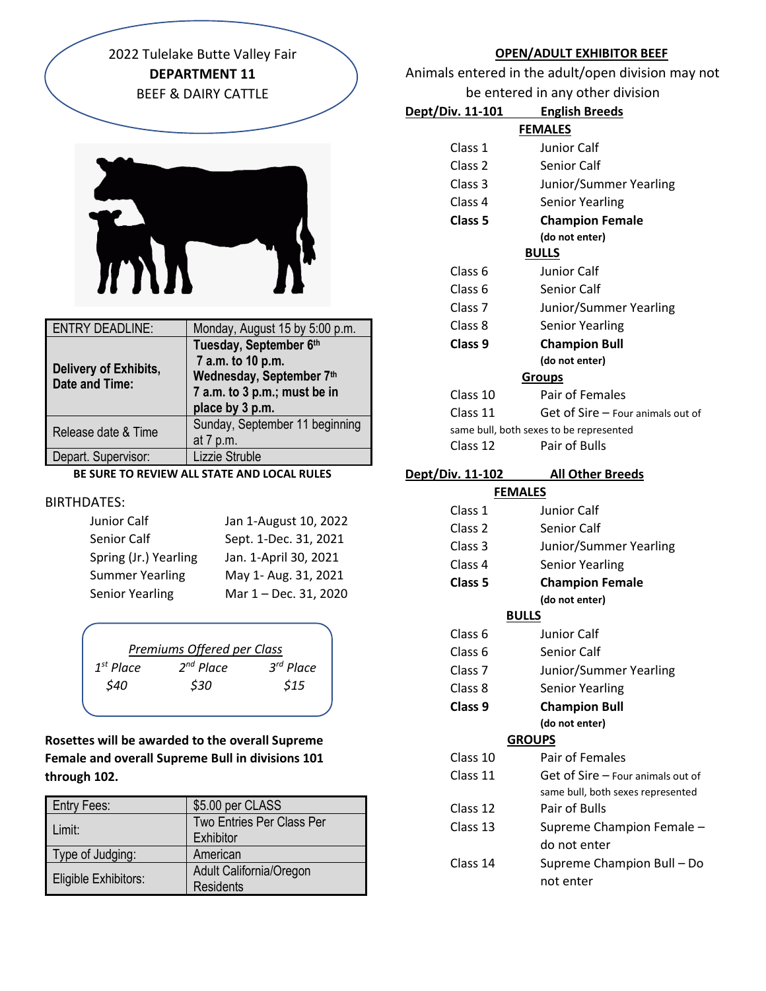2022 Tulelake Butte Valley Fair **DEPARTMENT 11** BEEF & DAIRY CATTLE



| <b>ENTRY DEADLINE:</b>                  | Monday, August 15 by 5:00 p.m.                                                                                             |
|-----------------------------------------|----------------------------------------------------------------------------------------------------------------------------|
| Delivery of Exhibits,<br>Date and Time: | Tuesday, September 6th<br>7 a.m. to 10 p.m.<br>Wednesday, September 7th<br>7 a.m. to 3 p.m.; must be in<br>place by 3 p.m. |
| Release date & Time                     | Sunday, September 11 beginning<br>at 7 p.m.                                                                                |
| Depart. Supervisor:                     | Lizzie Struble                                                                                                             |

## **BE SURE TO REVIEW ALL STATE AND LOCAL RULES**

#### BIRTHDATES:

| Junior Calf            | Jan 1-August 10, 2022 |
|------------------------|-----------------------|
| Senior Calf            | Sept. 1-Dec. 31, 2021 |
| Spring (Jr.) Yearling  | Jan. 1-April 30, 2021 |
| <b>Summer Yearling</b> | May 1- Aug. 31, 2021  |
| <b>Senior Yearling</b> | Mar 1 - Dec. 31, 2020 |

|                | Premiums Offered per Class |                       |
|----------------|----------------------------|-----------------------|
| $1^{st}$ Place | $2^{nd}$ Place             | 3 <sup>rd</sup> Place |
| \$40           | \$30                       | \$15                  |
|                |                            |                       |

**Rosettes will be awarded to the overall Supreme Female and overall Supreme Bull in divisions 101 through 102.**

| <b>Entry Fees:</b>          | \$5.00 per CLASS                 |
|-----------------------------|----------------------------------|
| Limit:                      | <b>Two Entries Per Class Per</b> |
|                             | Exhibitor                        |
| Type of Judging:            | American                         |
| <b>Eligible Exhibitors:</b> | Adult California/Oregon          |
|                             | <b>Residents</b>                 |

#### **OPEN/ADULT EXHIBITOR BEEF**

Animals entered in the adult/open division may not be entered in any other division

| Dept/Div. 11-101        | <b>English Breeds</b>                   |  |
|-------------------------|-----------------------------------------|--|
| <b>FEMALES</b>          |                                         |  |
| Class 1                 | Junior Calf                             |  |
| Class <sub>2</sub>      | <b>Senior Calf</b>                      |  |
| Class 3                 | Junior/Summer Yearling                  |  |
| Class 4                 | <b>Senior Yearling</b>                  |  |
| Class <sub>5</sub>      | <b>Champion Female</b>                  |  |
|                         | (do not enter)                          |  |
|                         | <b>BULLS</b>                            |  |
| Class <sub>6</sub>      | Junior Calf                             |  |
| Class <sub>6</sub>      | <b>Senior Calf</b>                      |  |
| Class <sub>7</sub>      | Junior/Summer Yearling                  |  |
| Class 8                 | <b>Senior Yearling</b>                  |  |
| Class 9                 | <b>Champion Bull</b>                    |  |
|                         | (do not enter)                          |  |
|                         | <b>Groups</b>                           |  |
| Class 10                | Pair of Females                         |  |
| Class 11                | Get of Sire - Four animals out of       |  |
|                         | same bull, both sexes to be represented |  |
| Class 12                | Pair of Bulls                           |  |
| <u>Dept/Div. 11-102</u> | <b>All Other Breeds</b>                 |  |
| <b>FEMALES</b>          |                                         |  |
| Class 1                 | Junior Calf                             |  |
| Class 2                 | Senior Calf                             |  |
| Class 3                 | Junior/Summer Yearling                  |  |
| Class 4                 | <b>Senior Yearling</b>                  |  |
| Class 5                 | <b>Champion Female</b>                  |  |
|                         | (do not enter)                          |  |

### **BULLS**

|                    | BULLS                             |
|--------------------|-----------------------------------|
| Class 6            | Junior Calf                       |
| Class 6            | Senior Calf                       |
| Class <sub>7</sub> | Junior/Summer Yearling            |
| Class 8            | <b>Senior Yearling</b>            |
| Class 9            | <b>Champion Bull</b>              |
|                    | (do not enter)                    |
|                    | <b>GROUPS</b>                     |
| Class 10           | Pair of Females                   |
| Class 11           | Get of Sire – Four animals out of |
|                    | same bull, both sexes represented |
| Class 12           | Pair of Bulls                     |
| Class 13           | Supreme Champion Female -         |
|                    | do not enter                      |
| Class 14           | Supreme Champion Bull - Do        |
|                    | not enter                         |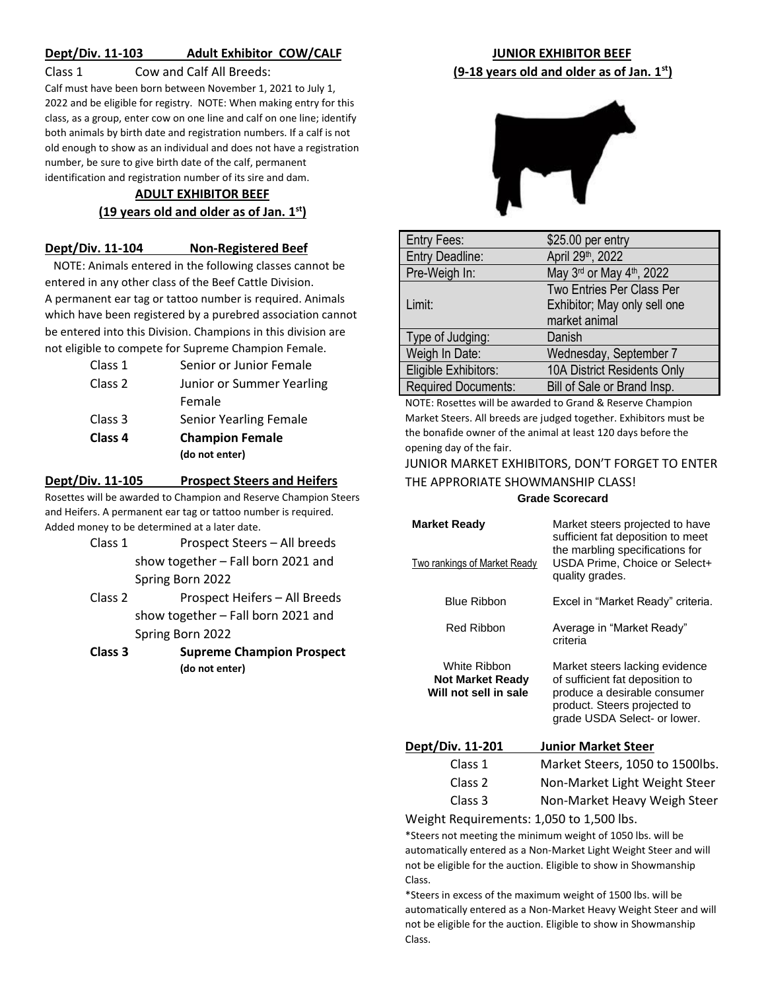## **Dept/Div. 11-103 Adult Exhibitor COW/CALF**

#### Class 1 Cow and Calf All Breeds:

Calf must have been born between November 1, 2021 to July 1, 2022 and be eligible for registry. NOTE: When making entry for this class, as a group, enter cow on one line and calf on one line; identify both animals by birth date and registration numbers. If a calf is not old enough to show as an individual and does not have a registration number, be sure to give birth date of the calf, permanent identification and registration number of its sire and dam.

### **ADULT EXHIBITOR BEEF (19 years old and older as of Jan. 1st)**

#### **Dept/Div. 11-104 Non-Registered Beef**

 NOTE: Animals entered in the following classes cannot be entered in any other class of the Beef Cattle Division. A permanent ear tag or tattoo number is required. Animals which have been registered by a purebred association cannot be entered into this Division. Champions in this division are not eligible to compete for Supreme Champion Female.

|         | (do not enter)            |
|---------|---------------------------|
| Class 4 | <b>Champion Female</b>    |
| Class 3 | Senior Yearling Female    |
|         | Female                    |
| Class 2 | Junior or Summer Yearling |
| Class 1 | Senior or Junior Female   |

#### **Dept/Div. 11-105 Prospect Steers and Heifers**

Rosettes will be awarded to Champion and Reserve Champion Steers and Heifers. A permanent ear tag or tattoo number is required. Added money to be determined at a later date.

- Class 1 Prospect Steers All breeds show together – Fall born 2021 and Spring Born 2022
- Class 2 Prospect Heifers All Breeds show together – Fall born 2021 and Spring Born 2022
- **Class 3 Supreme Champion Prospect (do not enter)**

## **JUNIOR EXHIBITOR BEEF (9-18 years old and older as of Jan. 1st)**



| Entry Fees:                | \$25.00 per entry            |
|----------------------------|------------------------------|
| <b>Entry Deadline:</b>     | April 29th, 2022             |
| Pre-Weigh In:              | May 3rd or May 4th, 2022     |
|                            | Two Entries Per Class Per    |
| Limit:                     | Exhibitor; May only sell one |
|                            | market animal                |
| Type of Judging:           | Danish                       |
| Weigh In Date:             | Wednesday, September 7       |
| Eligible Exhibitors:       | 10A District Residents Only  |
| <b>Required Documents:</b> | Bill of Sale or Brand Insp.  |

NOTE: Rosettes will be awarded to Grand & Reserve Champion Market Steers. All breeds are judged together. Exhibitors must be the bonafide owner of the animal at least 120 days before the opening day of the fair.

### JUNIOR MARKET EXHIBITORS, DON'T FORGET TO ENTER THE APPRORIATE SHOWMANSHIP CLASS! **Grade Scorecard**

| <b>Market Ready</b><br>Two rankings of Market Ready              | Market steers projected to have<br>sufficient fat deposition to meet<br>the marbling specifications for<br>USDA Prime, Choice or Select+<br>quality grades.       |
|------------------------------------------------------------------|-------------------------------------------------------------------------------------------------------------------------------------------------------------------|
| <b>Blue Ribbon</b>                                               | Excel in "Market Ready" criteria.                                                                                                                                 |
| Red Ribbon                                                       | Average in "Market Ready"<br>criteria                                                                                                                             |
| White Ribbon<br><b>Not Market Ready</b><br>Will not sell in sale | Market steers lacking evidence<br>of sufficient fat deposition to<br>produce a desirable consumer<br>product. Steers projected to<br>grade USDA Select- or lower. |
| <u>Dept/Div. 11-201</u>                                          | <b>Junior Market Steer</b>                                                                                                                                        |
| Class 1                                                          | Market Steers, 1050 to 1500lbs.                                                                                                                                   |
| Class 2                                                          | Non-Market Light Weight Steer                                                                                                                                     |
| Class 3                                                          | Non-Market Heavy Weigh Steer                                                                                                                                      |
| وجواديها والمطالب الملاحظ                                        | $\mathbf{L}$ , $\mathbf{A}$ $\mathbf{A}$ $\mathbf{F}$ $\mathbf{A}$ $\mathbf{L}$ $\mathbf{A}$ $\mathbf{F}$ $\mathbf{A}$ $\mathbf{A}$ $\mathbf{L}$                  |

Weight Requirements: 1,050 to 1,500 lbs.

\*Steers not meeting the minimum weight of 1050 lbs. will be automatically entered as a Non-Market Light Weight Steer and will not be eligible for the auction. Eligible to show in Showmanship Class.

\*Steers in excess of the maximum weight of 1500 lbs. will be automatically entered as a Non-Market Heavy Weight Steer and will not be eligible for the auction. Eligible to show in Showmanship Class.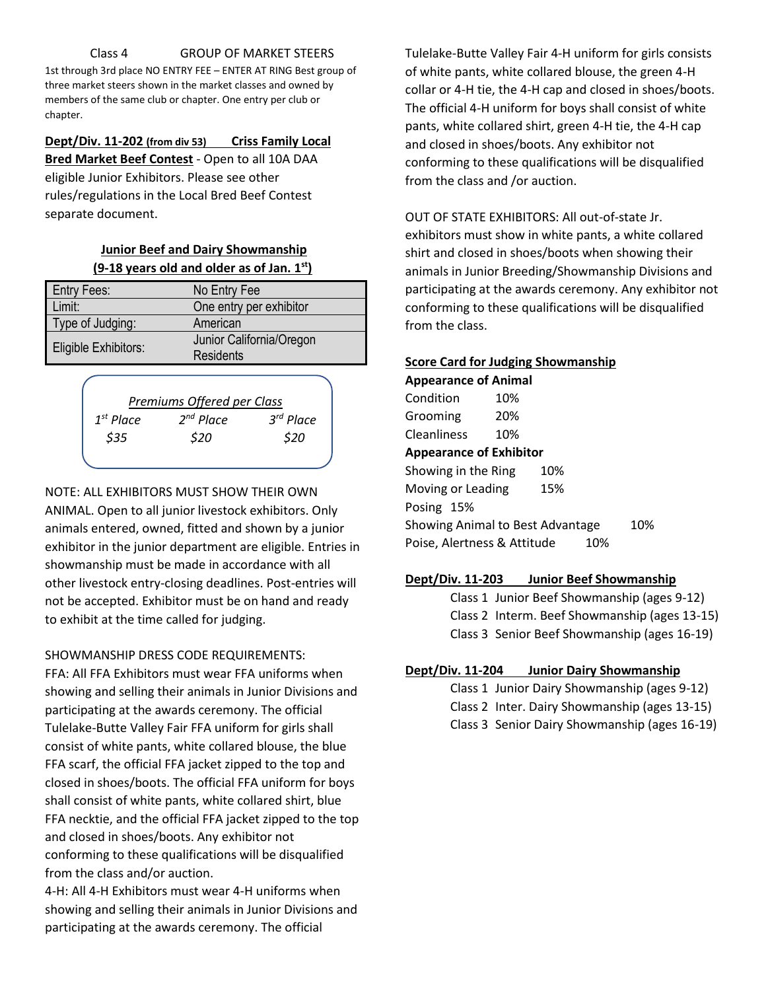#### Class 4 GROUP OF MARKET STEERS

1st through 3rd place NO ENTRY FEE – ENTER AT RING Best group of three market steers shown in the market classes and owned by members of the same club or chapter. One entry per club or chapter.

### **Dept/Div. 11-202 (from div 53) Criss Family Local**

**Bred Market Beef Contest** - Open to all 10A DAA eligible Junior Exhibitors. Please see other rules/regulations in the Local Bred Beef Contest separate document.

## **Junior Beef and Dairy Showmanship (9-18 years old and older as of Jan. 1st)**

| <b>Entry Fees:</b>          | No Entry Fee             |
|-----------------------------|--------------------------|
| Limit:                      | One entry per exhibitor  |
| Type of Judging:            | American                 |
| <b>Eligible Exhibitors:</b> | Junior California/Oregon |
|                             | <b>Residents</b>         |



#### NOTE: ALL EXHIBITORS MUST SHOW THEIR OWN

ANIMAL. Open to all junior livestock exhibitors. Only animals entered, owned, fitted and shown by a junior exhibitor in the junior department are eligible. Entries in showmanship must be made in accordance with all other livestock entry-closing deadlines. Post-entries will not be accepted. Exhibitor must be on hand and ready to exhibit at the time called for judging.

#### SHOWMANSHIP DRESS CODE REQUIREMENTS:

FFA: All FFA Exhibitors must wear FFA uniforms when showing and selling their animals in Junior Divisions and participating at the awards ceremony. The official Tulelake-Butte Valley Fair FFA uniform for girls shall consist of white pants, white collared blouse, the blue FFA scarf, the official FFA jacket zipped to the top and closed in shoes/boots. The official FFA uniform for boys shall consist of white pants, white collared shirt, blue FFA necktie, and the official FFA jacket zipped to the top and closed in shoes/boots. Any exhibitor not conforming to these qualifications will be disqualified from the class and/or auction.

4-H: All 4-H Exhibitors must wear 4-H uniforms when showing and selling their animals in Junior Divisions and participating at the awards ceremony. The official

Tulelake-Butte Valley Fair 4-H uniform for girls consists of white pants, white collared blouse, the green 4-H collar or 4-H tie, the 4-H cap and closed in shoes/boots. The official 4-H uniform for boys shall consist of white pants, white collared shirt, green 4-H tie, the 4-H cap and closed in shoes/boots. Any exhibitor not conforming to these qualifications will be disqualified from the class and /or auction.

#### OUT OF STATE EXHIBITORS: All out-of-state Jr.

exhibitors must show in white pants, a white collared shirt and closed in shoes/boots when showing their animals in Junior Breeding/Showmanship Divisions and participating at the awards ceremony. Any exhibitor not conforming to these qualifications will be disqualified from the class.

#### **Score Card for Judging Showmanship**

**Appearance of Animal** Condition 10% Grooming 20% Cleanliness 10% **Appearance of Exhibitor** Showing in the Ring 10% Moving or Leading 15% Posing 15% Showing Animal to Best Advantage 10% Poise, Alertness & Attitude 10%

#### **Dept/Div. 11-203 Junior Beef Showmanship**

Class 1 Junior Beef Showmanship (ages 9-12) Class 2 Interm. Beef Showmanship (ages 13-15) Class 3 Senior Beef Showmanship (ages 16-19)

#### **Dept/Div. 11-204 Junior Dairy Showmanship**

Class 1 Junior Dairy Showmanship (ages 9-12) Class 2 Inter. Dairy Showmanship (ages 13-15)

Class 3 Senior Dairy Showmanship (ages 16-19)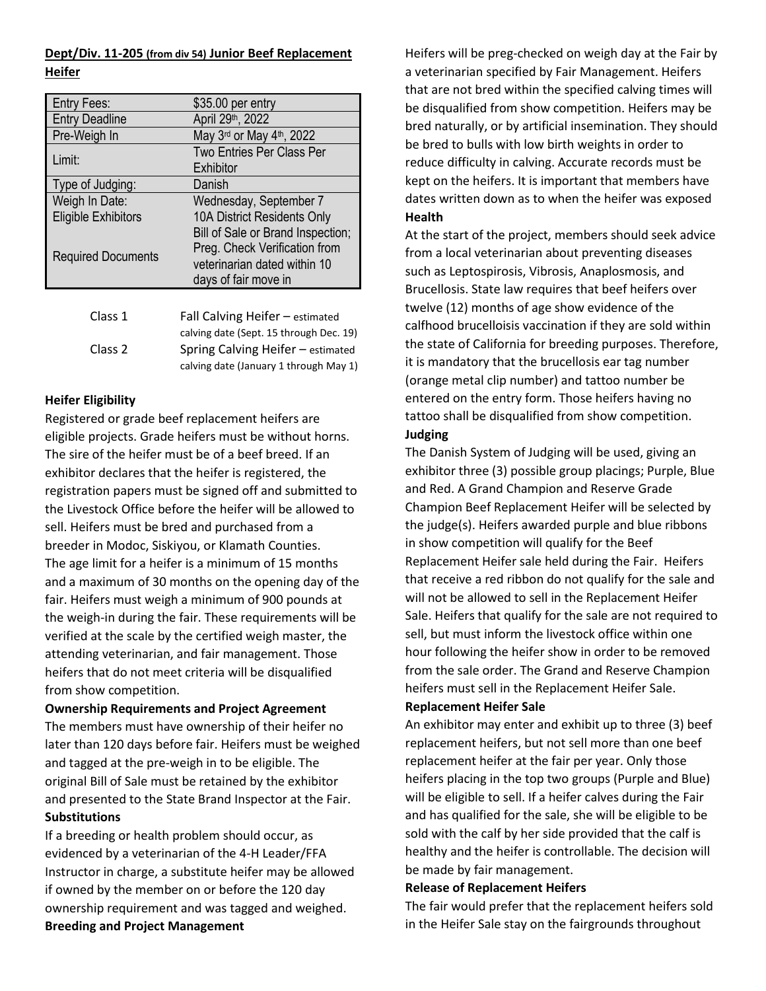### **Dept/Div. 11-205 (from div 54) Junior Beef Replacement Heifer**

| Entry Fees:                           | \$35.00 per entry                                                                          |
|---------------------------------------|--------------------------------------------------------------------------------------------|
| <b>Entry Deadline</b>                 | April 29th, 2022                                                                           |
| Pre-Weigh In                          | May 3rd or May 4th, 2022                                                                   |
| Limit:                                | Two Entries Per Class Per<br>Exhibitor                                                     |
| Type of Judging:                      | Danish                                                                                     |
| Weigh In Date:<br>Eligible Exhibitors | Wednesday, September 7<br>10A District Residents Only<br>Bill of Sale or Brand Inspection; |
| <b>Required Documents</b>             | Preg. Check Verification from<br>veterinarian dated within 10<br>days of fair move in      |
| $C2 = 1$                              | $\Gamma$ ell Celuine Heifen (* )                                                           |

| Class 1 | Fall Calving Heifer – estimated         |
|---------|-----------------------------------------|
|         | calving date (Sept. 15 through Dec. 19) |
| Class 2 | Spring Calving Heifer – estimated       |
|         | calving date (January 1 through May 1)  |

## **Heifer Eligibility**

Registered or grade beef replacement heifers are eligible projects. Grade heifers must be without horns. The sire of the heifer must be of a beef breed. If an exhibitor declares that the heifer is registered, the registration papers must be signed off and submitted to the Livestock Office before the heifer will be allowed to sell. Heifers must be bred and purchased from a breeder in Modoc, Siskiyou, or Klamath Counties. The age limit for a heifer is a minimum of 15 months and a maximum of 30 months on the opening day of the fair. Heifers must weigh a minimum of 900 pounds at the weigh-in during the fair. These requirements will be verified at the scale by the certified weigh master, the attending veterinarian, and fair management. Those heifers that do not meet criteria will be disqualified from show competition.

**Ownership Requirements and Project Agreement** The members must have ownership of their heifer no later than 120 days before fair. Heifers must be weighed and tagged at the pre-weigh in to be eligible. The original Bill of Sale must be retained by the exhibitor and presented to the State Brand Inspector at the Fair. **Substitutions**

If a breeding or health problem should occur, as evidenced by a veterinarian of the 4-H Leader/FFA Instructor in charge, a substitute heifer may be allowed if owned by the member on or before the 120 day ownership requirement and was tagged and weighed. **Breeding and Project Management**

Heifers will be preg-checked on weigh day at the Fair by a veterinarian specified by Fair Management. Heifers that are not bred within the specified calving times will be disqualified from show competition. Heifers may be bred naturally, or by artificial insemination. They should be bred to bulls with low birth weights in order to reduce difficulty in calving. Accurate records must be kept on the heifers. It is important that members have dates written down as to when the heifer was exposed **Health**

At the start of the project, members should seek advice from a local veterinarian about preventing diseases such as Leptospirosis, Vibrosis, Anaplosmosis, and Brucellosis. State law requires that beef heifers over twelve (12) months of age show evidence of the calfhood brucelloisis vaccination if they are sold within the state of California for breeding purposes. Therefore, it is mandatory that the brucellosis ear tag number (orange metal clip number) and tattoo number be entered on the entry form. Those heifers having no tattoo shall be disqualified from show competition.

### **Judging**

The Danish System of Judging will be used, giving an exhibitor three (3) possible group placings; Purple, Blue and Red. A Grand Champion and Reserve Grade Champion Beef Replacement Heifer will be selected by the judge(s). Heifers awarded purple and blue ribbons in show competition will qualify for the Beef Replacement Heifer sale held during the Fair. Heifers that receive a red ribbon do not qualify for the sale and will not be allowed to sell in the Replacement Heifer Sale. Heifers that qualify for the sale are not required to sell, but must inform the livestock office within one hour following the heifer show in order to be removed from the sale order. The Grand and Reserve Champion heifers must sell in the Replacement Heifer Sale.

### **Replacement Heifer Sale**

An exhibitor may enter and exhibit up to three (3) beef replacement heifers, but not sell more than one beef replacement heifer at the fair per year. Only those heifers placing in the top two groups (Purple and Blue) will be eligible to sell. If a heifer calves during the Fair and has qualified for the sale, she will be eligible to be sold with the calf by her side provided that the calf is healthy and the heifer is controllable. The decision will be made by fair management.

### **Release of Replacement Heifers**

The fair would prefer that the replacement heifers sold in the Heifer Sale stay on the fairgrounds throughout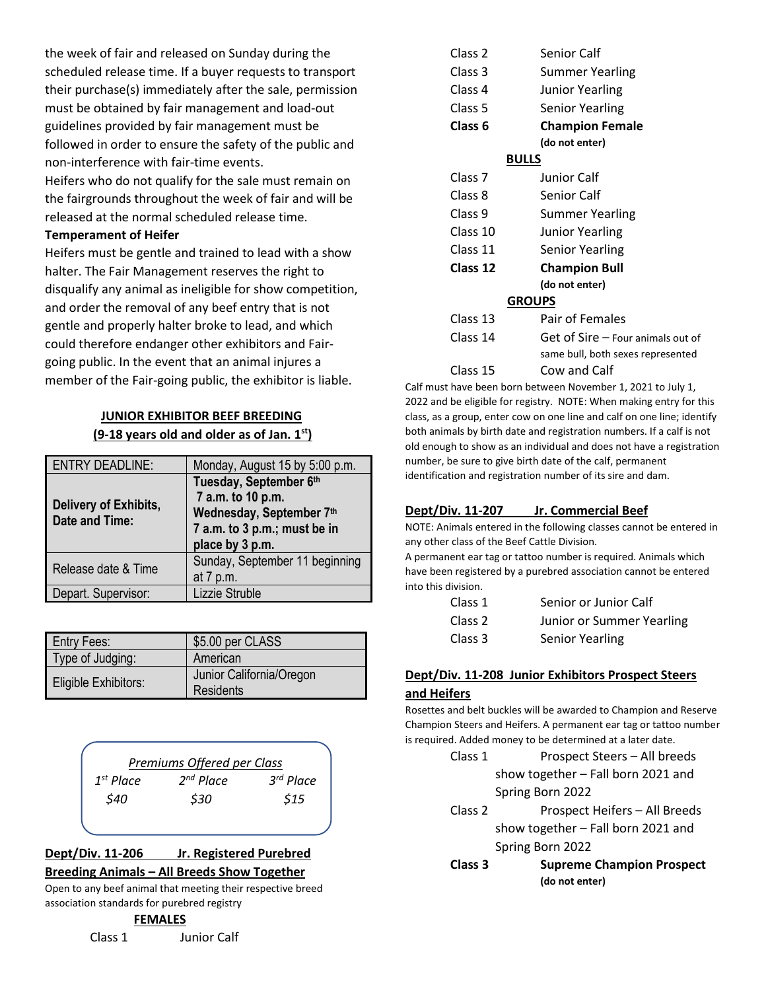the week of fair and released on Sunday during the scheduled release time. If a buyer requests to transport their purchase(s) immediately after the sale, permission must be obtained by fair management and load-out guidelines provided by fair management must be followed in order to ensure the safety of the public and non-interference with fair-time events. Heifers who do not qualify for the sale must remain on the fairgrounds throughout the week of fair and will be

released at the normal scheduled release time.

## **Temperament of Heifer**

Heifers must be gentle and trained to lead with a show halter. The Fair Management reserves the right to disqualify any animal as ineligible for show competition, and order the removal of any beef entry that is not gentle and properly halter broke to lead, and which could therefore endanger other exhibitors and Fairgoing public. In the event that an animal injures a member of the Fair-going public, the exhibitor is liable.

## **JUNIOR EXHIBITOR BEEF BREEDING (9-18 years old and older as of Jan. 1st)**

| <b>ENTRY DEADLINE:</b>                  | Monday, August 15 by 5:00 p.m.                                                                                             |
|-----------------------------------------|----------------------------------------------------------------------------------------------------------------------------|
| Delivery of Exhibits,<br>Date and Time: | Tuesday, September 6th<br>7 a.m. to 10 p.m.<br>Wednesday, September 7th<br>7 a.m. to 3 p.m.; must be in<br>place by 3 p.m. |
| Release date & Time                     | Sunday, September 11 beginning                                                                                             |
|                                         |                                                                                                                            |
|                                         | at 7 p.m.                                                                                                                  |
| Depart. Supervisor:                     | Lizzie Struble                                                                                                             |

| <b>Entry Fees:</b>   | \$5.00 per CLASS                      |
|----------------------|---------------------------------------|
| Type of Judging:     | American                              |
| Eligible Exhibitors: | Junior California/Oregon<br>Residents |

|                | Premiums Offered per Class |                       |
|----------------|----------------------------|-----------------------|
| $1^{st}$ Place | $2^{nd}$ Place             | 3 <sup>rd</sup> Place |
| \$40           | \$30                       | \$15                  |
|                |                            |                       |

## **Dept/Div. 11-206 Jr. Registered Purebred Breeding Animals – All Breeds Show Together**

Open to any beef animal that meeting their respective breed association standards for purebred registry

## **FEMALES**

Class 1 Junior Calf

| Class 2            | Senior Calf                       |
|--------------------|-----------------------------------|
| Class 3            | Summer Yearling                   |
| Class 4            | <b>Junior Yearling</b>            |
| Class 5            | <b>Senior Yearling</b>            |
| Class 6            | <b>Champion Female</b>            |
|                    | (do not enter)                    |
|                    | <b>BULLS</b>                      |
| Class <sub>7</sub> | Junior Calf                       |
| Class 8            | Senior Calf                       |
| Class 9            | Summer Yearling                   |
| Class 10           | <b>Junior Yearling</b>            |
| Class 11           | <b>Senior Yearling</b>            |
| Class 12           | <b>Champion Bull</b>              |
|                    | (do not enter)                    |
|                    | <b>GROUPS</b>                     |
| Class 13           | Pair of Females                   |
| Class 14           | Get of Sire - Four animals out of |
|                    | same bull, both sexes represented |
| Class 15           | Cow and Calf                      |

Calf must have been born between November 1, 2021 to July 1, 2022 and be eligible for registry. NOTE: When making entry for this class, as a group, enter cow on one line and calf on one line; identify both animals by birth date and registration numbers. If a calf is not old enough to show as an individual and does not have a registration number, be sure to give birth date of the calf, permanent identification and registration number of its sire and dam.

## **Dept/Div. 11-207 Jr. Commercial Beef**

NOTE: Animals entered in the following classes cannot be entered in any other class of the Beef Cattle Division.

A permanent ear tag or tattoo number is required. Animals which have been registered by a purebred association cannot be entered into this division.

| Class 1 | Senior or Junior Calf     |
|---------|---------------------------|
| Class 2 | Junior or Summer Yearling |
| Class 3 | Senior Yearling           |

## **Dept/Div. 11-208 Junior Exhibitors Prospect Steers and Heifers**

Rosettes and belt buckles will be awarded to Champion and Reserve Champion Steers and Heifers. A permanent ear tag or tattoo number is required. Added money to be determined at a later date.

- Class 1 Prospect Steers All breeds show together – Fall born 2021 and Spring Born 2022
- Class 2 Prospect Heifers All Breeds show together – Fall born 2021 and Spring Born 2022
- **Class 3 Supreme Champion Prospect (do not enter)**